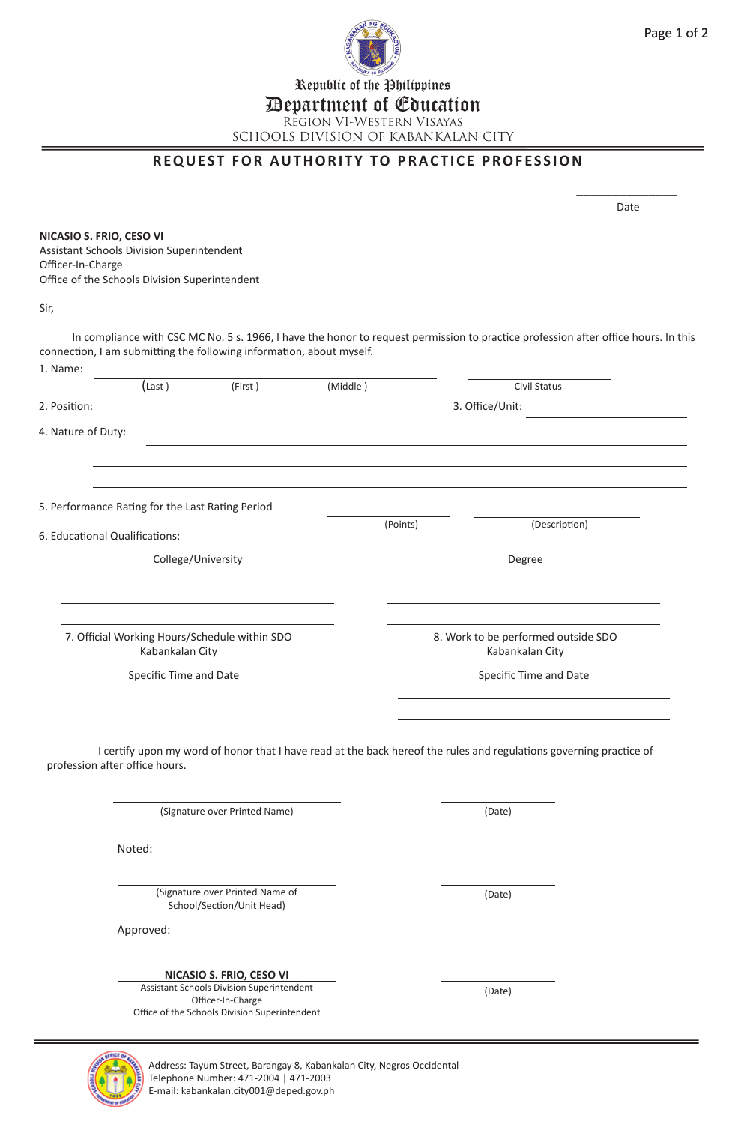

Republic of the Philippines

## Department of Education

Region VI-Western Visayas SCHOOLS DIVISION OF KABANKALAN CITY

## **REQUEST FOR AUTHORITY TO PRACTICE PROFESSION**

 $\overline{\phantom{a}}$  . The contract of the contract of the contract of the contract of the contract of the contract of the contract of the contract of the contract of the contract of the contract of the contract of the contract of

na dia 1992 nope 2012 nombolisme and the contract of the contract of the contract of the contract of the contract of the contract of the contract of the contract of the contract of the contract of the contract of the contr

**NICASIO S. FRIO, CESO VI** Assistant Schools Division Superintendent Officer-In-Charge Office of the Schools Division Superintendent

Sir,

|                                                                  | $(\text{Last})$                                  | (First)                                                               | (Middle) | Civil Status                                                                                                        |  |
|------------------------------------------------------------------|--------------------------------------------------|-----------------------------------------------------------------------|----------|---------------------------------------------------------------------------------------------------------------------|--|
| 2. Position:                                                     |                                                  |                                                                       |          | 3. Office/Unit:                                                                                                     |  |
|                                                                  |                                                  |                                                                       |          |                                                                                                                     |  |
| 4. Nature of Duty:                                               |                                                  |                                                                       |          |                                                                                                                     |  |
|                                                                  |                                                  |                                                                       |          |                                                                                                                     |  |
|                                                                  | 5. Performance Rating for the Last Rating Period |                                                                       |          |                                                                                                                     |  |
|                                                                  | 6. Educational Qualifications:                   |                                                                       | (Points) | (Description)                                                                                                       |  |
|                                                                  | College/University                               |                                                                       |          | Degree                                                                                                              |  |
|                                                                  |                                                  |                                                                       |          |                                                                                                                     |  |
| 7. Official Working Hours/Schedule within SDO<br>Kabankalan City |                                                  |                                                                       |          | 8. Work to be performed outside SDO<br>Kabankalan City                                                              |  |
|                                                                  |                                                  |                                                                       |          |                                                                                                                     |  |
|                                                                  | Specific Time and Date                           |                                                                       |          | Specific Time and Date                                                                                              |  |
|                                                                  |                                                  |                                                                       |          | I certify upon my word of honor that I have read at the back hereof the rules and regulations governing practice of |  |
|                                                                  | profession after office hours.                   |                                                                       |          |                                                                                                                     |  |
|                                                                  |                                                  | (Signature over Printed Name)                                         |          | (Date)                                                                                                              |  |
|                                                                  | Noted:                                           |                                                                       |          |                                                                                                                     |  |
|                                                                  |                                                  | (Signature over Printed Name of<br>School/Section/Unit Head)          |          | (Date)                                                                                                              |  |
|                                                                  | Approved:                                        |                                                                       |          |                                                                                                                     |  |
|                                                                  |                                                  | NICASIO S. FRIO, CESO VI<br>Assistant Schools Division Superintendent |          | (Date)                                                                                                              |  |



Address: Tayum Street, Barangay 8, Kabankalan City, Negros Occidental Telephone Number: 471-2004 | 471-2003 E-mail: kabankalan.city001@deped.gov.ph